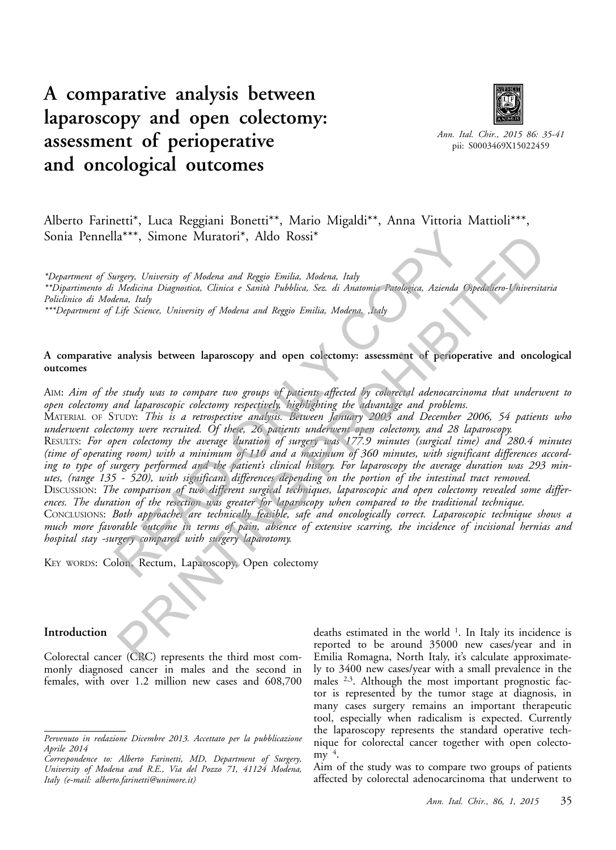# **A comparative analysis between laparoscopy and open colectomy: assessment of perioperative and oncological outcomes**



*Ann. Ital. Chir., 2015 86: 35-41* pii: S0003469X15022459

# Alberto Farinetti\*, Luca Reggiani Bonetti\*\*, Mario Migaldi\*\*, Anna Vittoria Mattioli\*\*\*, Sonia Pennella\*\*\*, Simone Muratori\*, Aldo Rossi\*

*\*Department of Surgery, University of Modena and Reggio Emilia, Modena, Italy \*\*Dipartimento di Medicina Diagnostica, Clinica e Sanità Pubblica, Sez. di Anatomia Patologica, Azienda Ospedaliero-Universitaria Policlinico di Modena, Italy*

*\*\*\*Department of Life Science, University of Modena and Reggio Emilia, Modena, ,Italy*

## **A comparative analysis between laparoscopy and open colectomy: assessment of perioperative and oncological outcomes**

AIM: *Aim of the study was to compare two groups of patients affected by colorectal adenocarcinoma that underwent to open colectomy and laparoscopic colectomy respectively, highlighting the advantage and problems.*

MATERIAL OF STUDY: *This is a retrospective analysis. Between January 2003 and December 2006, 54 patients who underwent colectomy were recruited. Of these, 26 patients underwent open colectomy, and 28 laparoscopy.*

RESULTS: *For open colectomy the average duration of surgery was 177.9 minutes (surgical time) and 280.4 minutes (time of operating room) with a minimum of 110 and a maximum of 360 minutes, with significant differences according to type of surgery performed and the patient's clinical history. For laparoscopy the average duration was 293 minutes, (range 135 - 520), with significant differences depending on the portion of the intestinal tract removed.*  $\text{Ia***}$ , Simone Muratori<sup>\*</sup>, Aldo Rossi<sup>\*</sup><br>
urgery, University of Modena and Reggio Emilia, Modena, Italy<br>
Madicina Diagnostica, Clinica e Sanità Pubblica, Sez. di Anatomis Paulogica, Azienda Osp<br>
Elife Science, Univers The Muraterity of Mulenta and Regio Emilies. Modent, Italy<br>
Terry, University of Mulenta and Regio Emilies. Modent, Italy<br>
Modelina Diagnostica, Clinica e Santa Pubblica, Sra. di Anatomic Patologica. Azienda Ospedialismo-l

DISCUSSION: The comparison of two different surgical techniques, laparoscopic and open colectomy revealed some differ*ences. The duration of the resection was greater for laparoscopy when compared to the traditional technique.*

CONCLUSIONS: *Both approaches are technically feasible, safe and oncologically correct. Laparoscopic technique shows a much more favorable outcome in terms of pain, absence of extensive scarring, the incidence of incisional hernias and hospital stay -surgery compared with surgery laparotomy.*

KEY WORDS: Colon, Rectum, Laparoscopy, Open colectomy

## **Introduction**

Colorectal cancer (CRC) represents the third most commonly diagnosed cancer in males and the second in females, with over 1.2 million new cases and 608,700

deaths estimated in the world<sup>1</sup>. In Italy its incidence is reported to be around 35000 new cases/year and in Emilia Romagna, North Italy, it's calculate approximately to 3400 new cases/year with a small prevalence in the males <sup>2,3</sup>. Although the most important prognostic factor is represented by the tumor stage at diagnosis, in many cases surgery remains an important therapeutic tool, especially when radicalism is expected. Currently the laparoscopy represents the standard operative technique for colorectal cancer together with open colectomy  $4$ .

Aim of the study was to compare two groups of patients affected by colorectal adenocarcinoma that underwent to

*Pervenuto in redazione Dicembre 2013. Accettato per la pubblicazione Aprile 2014*

*Correspondence to: Alberto Farinetti, MD, Department of Surgery, University of Modena and R.E., Via del Pozzo 71, 41124 Modena, Italy (e-mail: alberto.farinetti@unimore.it)*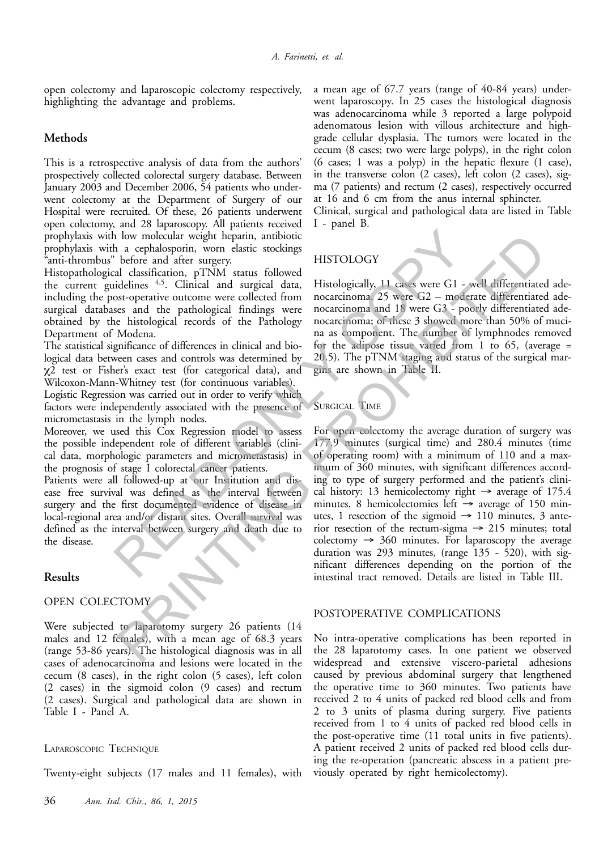open colectomy and laparoscopic colectomy respectively, highlighting the advantage and problems.

## **Methods**

This is a retrospective analysis of data from the authors' prospectively collected colorectal surgery database. Between January 2003 and December 2006, 54 patients who underwent colectomy at the Department of Surgery of our Hospital were recruited. Of these, 26 patients underwent open colectomy, and 28 laparoscopy. All patients received prophylaxis with low molecular weight heparin, antibiotic prophylaxis with a cephalosporin, worn elastic stockings "anti-thrombus" before and after surgery.

Histopathological classification, pTNM status followed the current guidelines 4,5. Clinical and surgical data, including the post-operative outcome were collected from surgical databases and the pathological findings were obtained by the histological records of the Pathology Department of Modena.

The statistical significance of differences in clinical and biological data between cases and controls was determined by χ2 test or Fisher's exact test (for categorical data), and Wilcoxon-Mann-Whitney test (for continuous variables).

Logistic Regression was carried out in order to verify which factors were independently associated with the presence of micrometastasis in the lymph nodes.

Moreover, we used this Cox Regression model to assess the possible independent role of different variables (clinical data, morphologic parameters and micrometastasis) in the prognosis of stage I colorectal cancer patients.

Patients were all followed-up at our Institution and disease free survival was defined as the interval between surgery and the first documented evidence of disease in local-regional area and/or distant sites. Overall survival was defined as the interval between surgery and death due to the disease.

## **Results**

# OPEN COLECTOMY

Were subjected to laparotomy surgery 26 patients (14 males and 12 females), with a mean age of 68.3 years (range 53-86 years). The histological diagnosis was in all cases of adenocarcinoma and lesions were located in the cecum (8 cases), in the right colon (5 cases), left colon (2 cases) in the sigmoid colon (9 cases) and rectum (2 cases). Surgical and pathological data are shown in Table I - Panel A.

## LAPAROSCOPIC TECHNIQUE

Twenty-eight subjects (17 males and 11 females), with

a mean age of 67.7 years (range of 40-84 years) underwent laparoscopy. In 25 cases the histological diagnosis was adenocarcinoma while 3 reported a large polypoid adenomatous lesion with villous architecture and highgrade cellular dysplasia. The tumors were located in the cecum (8 cases; two were large polyps), in the right colon (6 cases; 1 was a polyp) in the hepatic flexure (1 case), in the transverse colon (2 cases), left colon (2 cases), sigma (7 patients) and rectum (2 cases), respectively occurred at 16 and 6 cm from the anus internal sphincter.

Clinical, surgical and pathological data are listed in Table I - panel B*.*

## HISTOLOGY

Histologically, 11 cases were G1 - well differentiated adenocarcinoma, 25 were G2 – moderate differentiated adenocarcinoma and 18 were G3 - poorly differentiated adenocarcinoma; of these 3 showed more than 50% of mucina as component. The number of lymphnodes removed for the adipose tissue varied from 1 to 65, (average = 20.5). The pTNM staging and status of the surgical margins are shown in Table II.

### SURGICAL TIME

For open colectomy the average duration of surgery was 177.9 minutes (surgical time) and 280.4 minutes (time of operating room) with a minimum of 110 and a maximum of 360 minutes, with significant differences according to type of surgery performed and the patient's clinical history: 13 hemicolectomy right  $\rightarrow$  average of 175.4 minutes, 8 hemicolectomies left  $\rightarrow$  average of 150 minutes, 1 resection of the sigmoid  $\rightarrow$  110 minutes, 3 anterior resection of the rectum-sigma  $\rightarrow$  215 minutes; total colectomy  $\rightarrow$  360 minutes. For laparoscopy the average duration was 293 minutes, (range 135 - 520), with significant differences depending on the portion of the intestinal tract removed. Details are listed in Table III. I low molecular weight heparin, antibiotic<br>
I a cephalopoint, worn elastic sockings<br>
The fore and after surgery.<br>
HISTOLOGY<br>
Lections and starting the surgery.<br>
HISTOLOGY<br>
Lections  $^{4.5}$ . Clinical and surgical data, His Ion motecular weight heparal, antibiation<br>
a cophalosporin, worn classic stockings<br>
a cophalosporin, worn classic stockings<br>
HISTOLOGY<br>
Lefts and signical data, Histologically, 11 case were G1 - well different<br>interaction

#### POSTOPERATIVE COMPLICATIONS

No intra-operative complications has been reported in the 28 laparotomy cases. In one patient we observed widespread and extensive viscero-parietal adhesions caused by previous abdominal surgery that lengthened the operative time to 360 minutes. Two patients have received 2 to 4 units of packed red blood cells and from 2 to 3 units of plasma during surgery. Five patients received from 1 to 4 units of packed red blood cells in the post-operative time (11 total units in five patients). A patient received 2 units of packed red blood cells during the re-operation (pancreatic abscess in a patient previously operated by right hemicolectomy).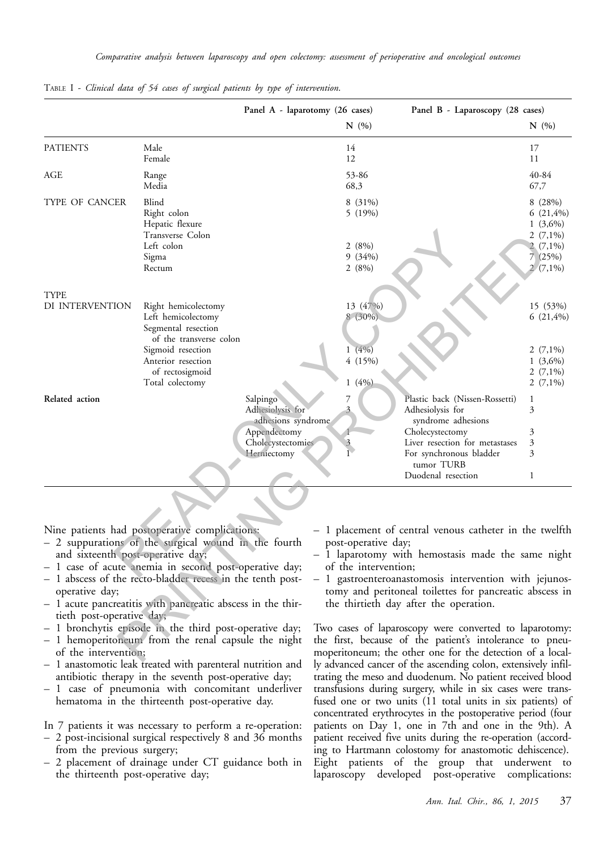|                                                                                                          |                                                                                                                                                                                                                                                                                                                                                                                                                 | Panel A - laparotomy (26 cases)                                                                        |                                                     | Panel B - Laparoscopy (28 cases)                                                                                                                                                                                                                                                                                                                                                                                                                              |                                                                                        |
|----------------------------------------------------------------------------------------------------------|-----------------------------------------------------------------------------------------------------------------------------------------------------------------------------------------------------------------------------------------------------------------------------------------------------------------------------------------------------------------------------------------------------------------|--------------------------------------------------------------------------------------------------------|-----------------------------------------------------|---------------------------------------------------------------------------------------------------------------------------------------------------------------------------------------------------------------------------------------------------------------------------------------------------------------------------------------------------------------------------------------------------------------------------------------------------------------|----------------------------------------------------------------------------------------|
|                                                                                                          |                                                                                                                                                                                                                                                                                                                                                                                                                 |                                                                                                        | N(%)                                                |                                                                                                                                                                                                                                                                                                                                                                                                                                                               | N(%)                                                                                   |
| <b>PATIENTS</b>                                                                                          | Male<br>Female                                                                                                                                                                                                                                                                                                                                                                                                  |                                                                                                        | 14<br>12                                            |                                                                                                                                                                                                                                                                                                                                                                                                                                                               | 17<br>11                                                                               |
| AGE                                                                                                      | Range<br>Media                                                                                                                                                                                                                                                                                                                                                                                                  |                                                                                                        | 53-86<br>68,3                                       |                                                                                                                                                                                                                                                                                                                                                                                                                                                               | 40-84<br>67,7                                                                          |
| TYPE OF CANCER                                                                                           | Blind<br>Right colon<br>Hepatic flexure<br>Transverse Colon<br>Left colon<br>Sigma<br>Rectum                                                                                                                                                                                                                                                                                                                    |                                                                                                        | 8 (31%)<br>5 (19%)<br>2(8%)<br>9(34%)<br>2(8%)      |                                                                                                                                                                                                                                                                                                                                                                                                                                                               | 8(28%)<br>$6(21,4\%)$<br>$1(3,6\%)$<br>$2(7,1\%)$<br>$(7,1\%)$<br>7(25%)<br>$2(7,1\%)$ |
| <b>TYPE</b><br>DI INTERVENTION                                                                           | Right hemicolectomy<br>Left hemicolectomy<br>Segmental resection<br>of the transverse colon<br>Sigmoid resection<br>Anterior resection<br>of rectosigmoid<br>Total colectomy                                                                                                                                                                                                                                    |                                                                                                        | 13 (47%)<br>8 (30%)<br>1(4%)<br>4 (15%)<br>$1(4\%)$ |                                                                                                                                                                                                                                                                                                                                                                                                                                                               | 15 (53%)<br>$6(21,4\%)$<br>2 $(7,1\%)$<br>$1(3,6\%)$<br>2 $(7,1\%)$<br>2 $(7,1\%)$     |
| Related action                                                                                           |                                                                                                                                                                                                                                                                                                                                                                                                                 | Salpingo<br>Adhesiolysis for<br>adhesions syndrome<br>Appendectomy<br>Cholecystectomies<br>Herniectomy |                                                     | Plastic back (Nissen-Rossetti)<br>Adhesiolysis for<br>syndrome adhesions<br>Cholecystectomy<br>Liver resection for metastases<br>For synchronous bladder<br>tumor TURB<br>Duodenal resection                                                                                                                                                                                                                                                                  | 1<br>3<br>3<br>3<br>3<br>1                                                             |
| and sixteenth post-operative day;<br>operative day;<br>tieth post-operative day;<br>of the intervention; | Nine patients had postoperative complications:<br>- 2 suppurations of the surgical wound in the fourth<br>- 1 case of acute anemia in second post-operative day;<br>- 1 abscess of the recto-bladder recess in the tenth post-<br>- 1 acute pancreatitis with pancreatic abscess in the thir-<br>- 1 bronchytis episode in the third post-operative day;<br>- 1 hemoperitoneum from the renal capsule the night |                                                                                                        | post-operative day;<br>of the intervention;         | - 1 placement of central venous catheter in the twelfth<br>- 1 laparotomy with hemostasis made the same night<br>1 gastroenteroanastomosis intervention with jejunos-<br>tomy and peritoneal toilettes for pancreatic abscess in<br>the thirtieth day after the operation.<br>Two cases of laparoscopy were converted to laparotomy:<br>the first, because of the patient's intolerance to pneu-<br>moperitoneum; the other one for the detection of a local- |                                                                                        |

TABLE I *- Clinical data of 54 cases of surgical patients by type of intervention*.

- 2 suppurations of the surgical wound in the fourth and sixteenth post-operative day;
- 1 case of acute anemia in second post-operative day;
- 1 abscess of the recto-bladder recess in the tenth postoperative day;
- 1 acute pancreatitis with pancreatic abscess in the thirtieth post-operative day;
- 1 bronchytis episode in the third post-operative day;
- 1 hemoperitoneum from the renal capsule the night of the intervention;
- 1 anastomotic leak treated with parenteral nutrition and antibiotic therapy in the seventh post-operative day;
- 1 case of pneumonia with concomitant underliver hematoma in the thirteenth post-operative day.
- In 7 patients it was necessary to perform a re-operation:
- 2 post-incisional surgical respectively 8 and 36 months from the previous surgery;
- 2 placement of drainage under CT guidance both in the thirteenth post-operative day;
- 1 placement of central venous catheter in the twelfth post-operative day;
- 1 laparotomy with hemostasis made the same night of the intervention;
- 1 gastroenteroanastomosis intervention with jejunostomy and peritoneal toilettes for pancreatic abscess in the thirtieth day after the operation.

Two cases of laparoscopy were converted to laparotomy: the first, because of the patient's intolerance to pneumoperitoneum; the other one for the detection of a locally advanced cancer of the ascending colon, extensively infiltrating the meso and duodenum. No patient received blood transfusions during surgery, while in six cases were transfused one or two units (11 total units in six patients) of concentrated erythrocytes in the postoperative period (four patients on Day 1, one in 7th and one in the 9th). A patient received five units during the re-operation (according to Hartmann colostomy for anastomotic dehiscence). Eight patients of the group that underwent to laparoscopy developed post-operative complications: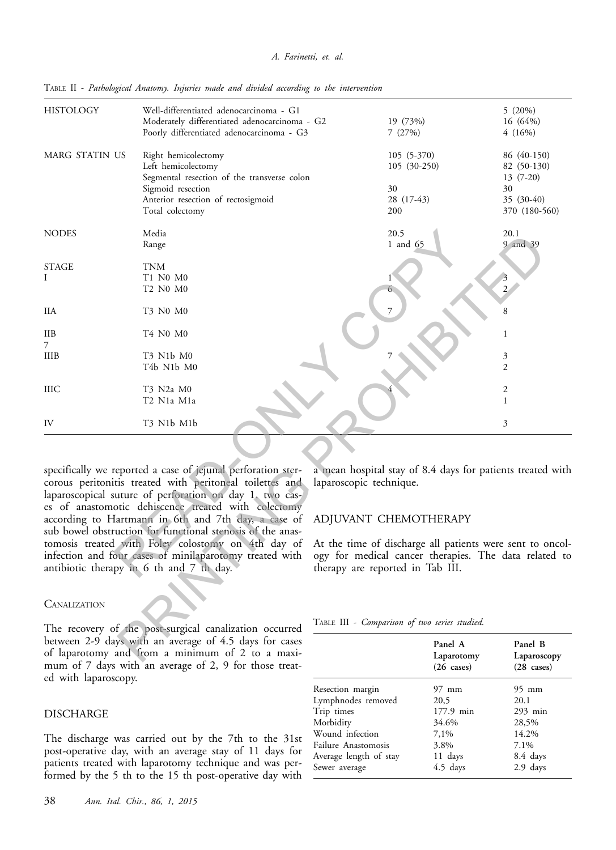#### *A. Farinetti, et. al.*

| <b>HISTOLOGY</b>  | Well-differentiated adenocarcinoma - G1<br>Moderately differentiated adenocarcinoma - G2<br>Poorly differentiated adenocarcinoma - G3                                                                                                                                                                                                                                                                                                                                                                                        | 19 (73%)<br>7(27%)                                                                                                                                                                                                                                                                                                        |                                           | 5(20%)<br>16 (64%)<br>4(16%)                                                  |
|-------------------|------------------------------------------------------------------------------------------------------------------------------------------------------------------------------------------------------------------------------------------------------------------------------------------------------------------------------------------------------------------------------------------------------------------------------------------------------------------------------------------------------------------------------|---------------------------------------------------------------------------------------------------------------------------------------------------------------------------------------------------------------------------------------------------------------------------------------------------------------------------|-------------------------------------------|-------------------------------------------------------------------------------|
| MARG STATIN US    | Right hemicolectomy<br>Left hemicolectomy<br>Segmental resection of the transverse colon<br>Sigmoid resection<br>Anterior resection of rectosigmoid<br>Total colectomy                                                                                                                                                                                                                                                                                                                                                       | 30<br>200                                                                                                                                                                                                                                                                                                                 | 105 (5-370)<br>105 (30-250)<br>28 (17-43) | 86 (40-150)<br>82 (50-130)<br>$13(7-20)$<br>30<br>35 (30-40)<br>370 (180-560) |
| <b>NODES</b>      | Media<br>Range                                                                                                                                                                                                                                                                                                                                                                                                                                                                                                               | 20.5<br>1 and 65                                                                                                                                                                                                                                                                                                          |                                           | 20.1<br>9 and 39                                                              |
| <b>STAGE</b><br>I | <b>TNM</b><br>T1 N0 M0<br>T2 N0 M0                                                                                                                                                                                                                                                                                                                                                                                                                                                                                           |                                                                                                                                                                                                                                                                                                                           |                                           | $\overline{2}$                                                                |
| IIA               | T3 N0 M0                                                                                                                                                                                                                                                                                                                                                                                                                                                                                                                     |                                                                                                                                                                                                                                                                                                                           |                                           | 8                                                                             |
| HВ                | T4 N0 M0                                                                                                                                                                                                                                                                                                                                                                                                                                                                                                                     |                                                                                                                                                                                                                                                                                                                           |                                           | 1                                                                             |
| 7<br>IIIB         | T3 N1b M0<br>T4b N1b M0                                                                                                                                                                                                                                                                                                                                                                                                                                                                                                      |                                                                                                                                                                                                                                                                                                                           |                                           | 3<br>$\mathfrak{2}$                                                           |
| IIIC              | T3 N2a M0<br>T2 N1a M1a                                                                                                                                                                                                                                                                                                                                                                                                                                                                                                      |                                                                                                                                                                                                                                                                                                                           |                                           | 2<br>1                                                                        |
| IV                | T3 N1b M1b                                                                                                                                                                                                                                                                                                                                                                                                                                                                                                                   |                                                                                                                                                                                                                                                                                                                           |                                           | 3                                                                             |
| CANALIZATION      | specifically we reported a case of jejunal perforation ster-<br>corous peritonitis treated with peritoneal toilettes and<br>laparoscopical suture of perforation on day 1, two cas-<br>es of anastomotic dehiscence treated with colectomy<br>according to Hartmann in 6th and 7th day, a case of<br>sub bowel obstruction for functional stenosis of the anas-<br>tomosis treated with Foley colostomy on 4th day of<br>infection and four cases of minilaparotomy treated with<br>antibiotic therapy in 6 th and 7 th day. | a mean hospital stay of 8.4 days for patients treated with<br>laparoscopic technique.<br>ADJUVANT CHEMOTHERAPY<br>At the time of discharge all patients were sent to oncol-<br>ogy for medical cancer therapies. The data related to<br>therapy are reported in Tab III.<br>TABLE III - Comparison of two series studied. |                                           |                                                                               |
|                   | The recovery of the post-surgical canalization occurred<br>between 2-9 days with an average of 4.5 days for cases<br>of laparotomy and from a minimum of 2 to a maxi-                                                                                                                                                                                                                                                                                                                                                        |                                                                                                                                                                                                                                                                                                                           | Panel A<br>Laparotomy                     | Panel B<br>Laparoscopy                                                        |

TABLE II - *Pathological Anatomy. Injuries made and divided according to the intervention*

#### **CANALIZATION**

The recovery of the post-surgical canalization occurred between 2-9 days with an average of 4.5 days for cases of laparotomy and from a minimum of 2 to a maximum of 7 days with an average of 2, 9 for those treated with laparoscopy.

#### DISCHARGE

The discharge was carried out by the 7th to the 31st post-operative day, with an average stay of 11 days for patients treated with laparotomy technique and was performed by the 5 th to the 15 th post-operative day with

#### ADJUVANT CHEMOTHERAPY

TABLE III - *Comparison of two series studied.*

|                            | Panel A<br>Laparotomy<br>$(26 \text{ cases})$ | Panel B<br>Laparoscopy<br>$(28 \text{ cases})$ |
|----------------------------|-----------------------------------------------|------------------------------------------------|
| Resection margin           | $97 \text{ mm}$                               | 95 mm                                          |
| Lymphnodes removed         | 20,5                                          | 20.1                                           |
| Trip times                 | 177.9 min                                     | $293$ min                                      |
| Morbidity                  | 34.6%                                         | 28,5%                                          |
| Wound infection            | 7.1%                                          | 14.2%                                          |
| <b>Failure Anastomosis</b> | 3.8%                                          | 7.1%                                           |
| Average length of stay     | 11 days                                       | 8.4 days                                       |
| Sewer average              | 4.5 days                                      | 2.9 days                                       |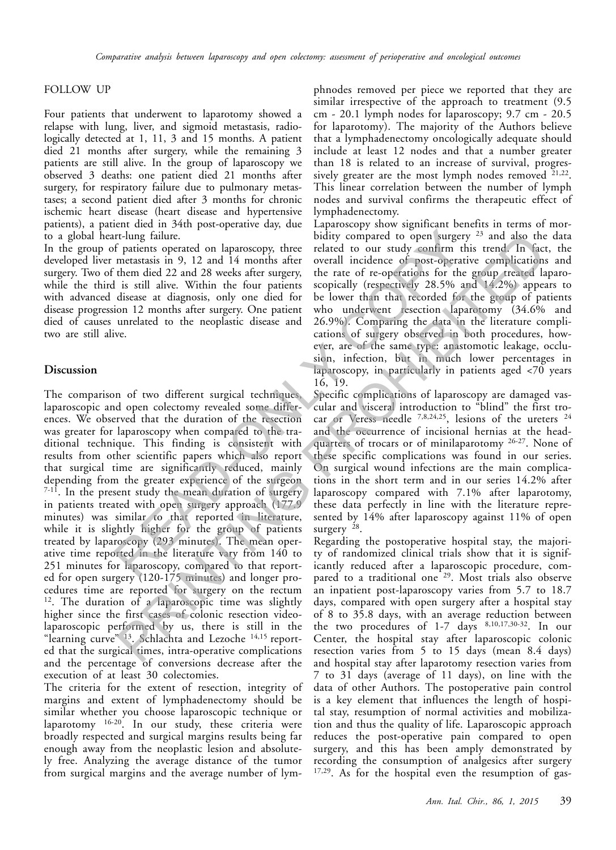## FOLLOW UP

Four patients that underwent to laparotomy showed a relapse with lung, liver, and sigmoid metastasis, radiologically detected at 1, 11, 3 and 15 months. A patient died 21 months after surgery, while the remaining 3 patients are still alive. In the group of laparoscopy we observed 3 deaths: one patient died 21 months after surgery, for respiratory failure due to pulmonary metastases; a second patient died after 3 months for chronic ischemic heart disease (heart disease and hypertensive patients), a patient died in 34th post-operative day, due to a global heart-lung failure.

In the group of patients operated on laparoscopy, three developed liver metastasis in 9, 12 and 14 months after surgery. Two of them died 22 and 28 weeks after surgery, while the third is still alive. Within the four patients with advanced disease at diagnosis, only one died for disease progression 12 months after surgery. One patient died of causes unrelated to the neoplastic disease and two are still alive.

## **Discussion**

The comparison of two different surgical techniques, laparoscopic and open colectomy revealed some differences. We observed that the duration of the resection was greater for laparoscopy when compared to the traditional technique. This finding is consistent with results from other scientific papers which also report that surgical time are significantly reduced, mainly depending from the greater experience of the surgeon  $7-11$ . In the present study the mean duration of surgery in patients treated with open surgery approach (177.9 minutes) was similar to that reported in literature, while it is slightly higher for the group of patients treated by laparoscopy (293 minutes). The mean operative time reported in the literature vary from 140 to 251 minutes for laparoscopy, compared to that reported for open surgery (120-175 minutes) and longer procedures time are reported for surgery on the rectum <sup>12</sup>. The duration of a laparoscopic time was slightly higher since the first cases of colonic resection videolaparoscopic performed by us, there is still in the "learning curve" <sup>13</sup>. Schlachta and Lezoche <sup>14,15</sup> reported that the surgical times, intra-operative complications and the percentage of conversions decrease after the execution of at least 30 colectomies. Irlang failure.<br>
Inding compared to open surgery interleated on laparoscopy, three related to our study compared to open surgery interleated on laparoscopy, there or several incidence of post-operative them died 22 and 28 Flame tailed on a particular band 14 months after complication opera angeles and 14 months after overall indicates of particular complication in 12 and 14 months after overall indicates of particular complication is still

The criteria for the extent of resection, integrity of margins and extent of lymphadenectomy should be similar whether you choose laparoscopic technique or laparotomy <sup>16-20</sup>. In our study, these criteria were broadly respected and surgical margins results being far enough away from the neoplastic lesion and absolutely free. Analyzing the average distance of the tumor from surgical margins and the average number of lymphnodes removed per piece we reported that they are similar irrespective of the approach to treatment (9.5 cm - 20.1 lymph nodes for laparoscopy; 9.7 cm - 20.5 for laparotomy). The majority of the Authors believe that a lymphadenectomy oncologically adequate should include at least 12 nodes and that a number greater than 18 is related to an increase of survival, progressively greater are the most lymph nodes removed  $21,22$ . This linear correlation between the number of lymph nodes and survival confirms the therapeutic effect of lymphadenectomy.

Laparoscopy show significant benefits in terms of morbidity compared to open surgery  $23$  and also the data related to our study confirm this trend. In fact, the overall incidence of post-operative complications and the rate of re-operations for the group treated laparoscopically (respectively  $28.5\%$  and  $14.2\%$ ) appears to be lower than that recorded for the group of patients who underwent resection laparotomy (34.6% and 26.9%). Comparing the data in the literature complications of surgery observed in both procedures, however, are of the same type: anastomotic leakage, occlusion, infection, but in much lower percentages in laparoscopy, in particularly in patients aged  $\langle 70 \rangle$  years 16, 19.

Specific complications of laparoscopy are damaged vascular and visceral introduction to "blind" the first trocar or Veress needle 7,8,24,25, lesions of the ureters 24 and the occurrence of incisional hernias at the headquarters of trocars or of minilaparotomy 26-27. None of these specific complications was found in our series. On surgical wound infections are the main complications in the short term and in our series 14.2% after laparoscopy compared with 7.1% after laparotomy, these data perfectly in line with the literature represented by 14% after laparoscopy against 11% of open surgery  $^{28}$ .

Regarding the postoperative hospital stay, the majority of randomized clinical trials show that it is significantly reduced after a laparoscopic procedure, compared to a traditional one<sup>29</sup>. Most trials also observe an inpatient post-laparoscopy varies from 5.7 to 18.7 days, compared with open surgery after a hospital stay of 8 to 35.8 days, with an average reduction between the two procedures of 1-7 days 8,10,17,30-32. In our Center, the hospital stay after laparoscopic colonic resection varies from 5 to 15 days (mean 8.4 days) and hospital stay after laparotomy resection varies from 7 to 31 days (average of 11 days), on line with the data of other Authors. The postoperative pain control is a key element that influences the length of hospital stay, resumption of normal activities and mobilization and thus the quality of life. Laparoscopic approach reduces the post-operative pain compared to open surgery, and this has been amply demonstrated by recording the consumption of analgesics after surgery 17,29. As for the hospital even the resumption of gas-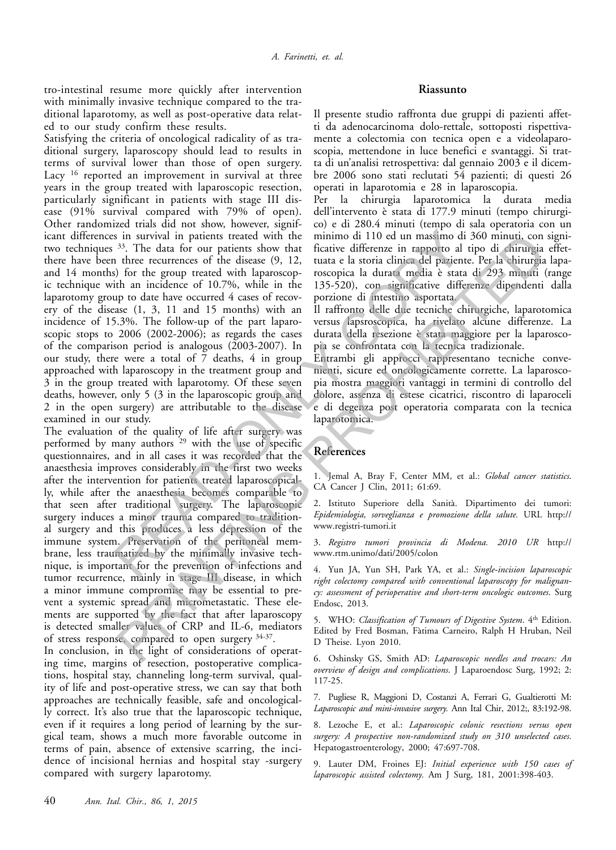tro-intestinal resume more quickly after intervention with minimally invasive technique compared to the traditional laparotomy, as well as post-operative data related to our study confirm these results.

Satisfying the criteria of oncological radicality of as traditional surgery, laparoscopy should lead to results in terms of survival lower than those of open surgery. Lacy <sup>16</sup> reported an improvement in survival at three years in the group treated with laparoscopic resection, particularly significant in patients with stage III disease (91% survival compared with 79% of open). Other randomized trials did not show, however, significant differences in survival in patients treated with the two techniques 33. The data for our patients show that there have been three recurrences of the disease (9, 12, and 14 months) for the group treated with laparoscopic technique with an incidence of 10.7%, while in the laparotomy group to date have occurred 4 cases of recovery of the disease (1, 3, 11 and 15 months) with an incidence of 15.3%. The follow-up of the part laparoscopic stops to 2006 (2002-2006); as regards the cases of the comparison period is analogous (2003-2007). In our study, there were a total of  $\bar{7}$  deaths, 4 in group approached with laparoscopy in the treatment group and 3 in the group treated with laparotomy. Of these seven deaths, however, only 5 (3 in the laparoscopic group and 2 in the open surgery) are attributable to the disease examined in our study. s in survival in patients treated with the minimo di 110 ed un massimo di 34<br>
<sup>33</sup>. The data for our patients show that fractive differenze in rapporto al tip<br>
in three recurrences of the disease (9, 12, tuata e la storia

The evaluation of the quality of life after surgery was performed by many authors 29 with the use of specific questionnaires, and in all cases it was recorded that the anaesthesia improves considerably in the first two weeks after the intervention for patients treated laparoscopically, while after the anaesthesia becomes comparable to that seen after traditional surgery. The laparoscopic surgery induces a minor trauma compared to traditional surgery and this produces a less depression of the immune system. Preservation of the peritoneal membrane, less traumatized by the minimally invasive technique, is important for the prevention of infections and tumor recurrence, mainly in stage III disease, in which a minor immune compromise may be essential to prevent a systemic spread and micrometastatic. These elements are supported by the fact that after laparoscopy is detected smaller values of CRP and IL-6, mediators of stress response, compared to open surgery 34-37. in surveyal in patients tracted with hen minimal of 110 ed in massion di 300 minimal of the encorrective of the discase (9, 12, tuata e la storia clinical contents of the encorrective of the storial clinical department. P

In conclusion, in the light of considerations of operating time, margins of resection, postoperative complications, hospital stay, channeling long-term survival, quality of life and post-operative stress, we can say that both approaches are technically feasible, safe and oncologically correct. It's also true that the laparoscopic technique, even if it requires a long period of learning by the surgical team, shows a much more favorable outcome in terms of pain, absence of extensive scarring, the incidence of incisional hernias and hospital stay -surgery compared with surgery laparotomy.

## **Riassunto**

Il presente studio raffronta due gruppi di pazienti affetti da adenocarcinoma dolo-rettale, sottoposti rispettivamente a colectomia con tecnica open e a videolaparoscopia, mettendone in luce benefici e svantaggi. Si tratta di un'analisi retrospettiva: dal gennaio 2003 e il dicembre 2006 sono stati reclutati 54 pazienti; di questi 26 operati in laparotomia e 28 in laparoscopia.

Per la chirurgia laparotomica la durata media dell'intervento è stata di 177.9 minuti (tempo chirurgico) e di 280.4 minuti (tempo di sala operatoria con un minimo di 110 ed un massimo di 360 minuti, con significative differenze in rapporto al tipo di chirurgia effettuata e la storia clinica del paziente. Per la chirurgia laparoscopica la durata media è stata di 293 minuti (range 135-520), con significative differenze dipendenti dalla porzione di intestino asportata.

Il raffronto delle due tecniche chirurgiche, laparotomica versus lapsroscopica, ha rivelato alcune differenze. La durata della resezione è stata maggiore per la laparoscopia se confrontata con la tecnica tradizionale.

Entrambi gli approcci rappresentano tecniche convenienti, sicure ed oncologicamente corrette. La laparoscopia mostra maggiori vantaggi in termini di controllo del dolore, assenza di estese cicatrici, riscontro di laparoceli e di degenza post operatoria comparata con la tecnica laparotomica.

# **References**

1. Jemal A, Bray F, Center MM, et al.: *Global cancer statistics*. CA Cancer J Clin, 2011; 61:69.

2. Istituto Superiore della Sanità. Dipartimento dei tumori: *Epidemiologia, sorveglianza e promozione della salute.* URL http:// www.registri-tumori.it

3. *Registro tumori provincia di Modena. 2010 UR* http:// www.rtm.unimo/dati/2005/colon

4. Yun JA, Yun SH, Park YA, et al.: *Single-incision laparoscopic right colectomy compared with conventional laparoscopy for malignancy: assessment of perioperative and short-term oncologic outcomes*. Surg Endosc, 2013.

5. WHO: *Classification of Tumours of Digestive System*. 4<sup>th</sup> Edition. Edited by Fred Bosman, Fàtima Carneiro, Ralph H Hruban, Neil D Theise. Lyon 2010.

6. Oshinsky GS, Smith AD: *Laparoscopic needles and trocars: An overview of design and complications*. J Laparoendosc Surg, 1992; 2: 117-25.

7. Pugliese R, Maggioni D, Costanzi A, Ferrari G, Gualtierotti M: *Laparoscopic and mini-invasive surgery.* Ann Ital Chir, 2012;, 83:192-98.

8. Lezoche E, et al.: *Laparoscopic colonic resections versus open surgery: A prospective non-randomized study on 310 unselected cases*. Hepatogastroenterology, 2000; 47:697-708.

9. Lauter DM, Froines EJ: *Initial experience with 150 cases of laparoscopic assisted colectomy.* Am J Surg, 181, 2001:398-403.